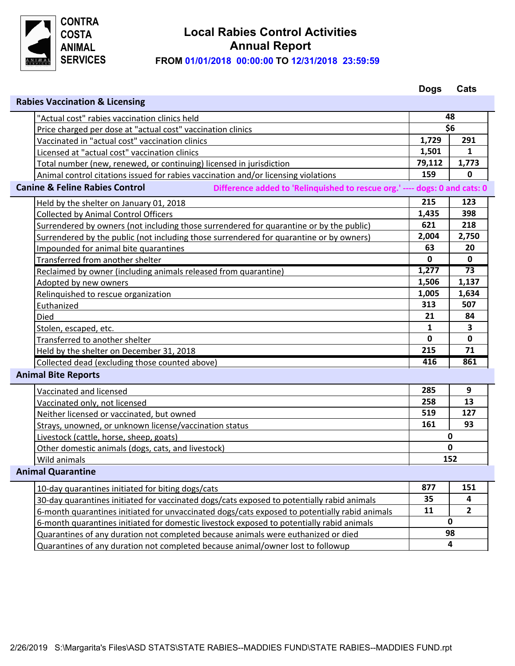

## **FROM 01/01/2018 00:00:00 TO 12/31/2018 23:59:59 Local Rabies Control Activities Annual Report**

|                                                                                                                         |                                                                                               | <b>Dogs</b>  | Cats           |  |  |  |
|-------------------------------------------------------------------------------------------------------------------------|-----------------------------------------------------------------------------------------------|--------------|----------------|--|--|--|
| <b>Rabies Vaccination &amp; Licensing</b>                                                                               |                                                                                               |              |                |  |  |  |
|                                                                                                                         | "Actual cost" rabies vaccination clinics held                                                 | 48           |                |  |  |  |
|                                                                                                                         | Price charged per dose at "actual cost" vaccination clinics                                   |              | \$6            |  |  |  |
|                                                                                                                         | Vaccinated in "actual cost" vaccination clinics                                               | 1,729        | 291            |  |  |  |
|                                                                                                                         | Licensed at "actual cost" vaccination clinics                                                 | 1,501        | 1              |  |  |  |
|                                                                                                                         | Total number (new, renewed, or continuing) licensed in jurisdiction                           | 79,112       | 1,773          |  |  |  |
|                                                                                                                         | Animal control citations issued for rabies vaccination and/or licensing violations            | 159          | $\mathbf 0$    |  |  |  |
| <b>Canine &amp; Feline Rabies Control</b><br>Difference added to 'Relinquished to rescue org.' ---- dogs: 0 and cats: 0 |                                                                                               |              |                |  |  |  |
|                                                                                                                         | Held by the shelter on January 01, 2018                                                       | 215          | 123            |  |  |  |
|                                                                                                                         | <b>Collected by Animal Control Officers</b>                                                   | 1,435        | 398            |  |  |  |
|                                                                                                                         | Surrendered by owners (not including those surrendered for quarantine or by the public)       | 621          | 218            |  |  |  |
|                                                                                                                         | Surrendered by the public (not including those surrendered for quarantine or by owners)       | 2,004        | 2,750          |  |  |  |
|                                                                                                                         | Impounded for animal bite quarantines                                                         | 63           | 20             |  |  |  |
|                                                                                                                         | Transferred from another shelter                                                              | $\mathbf{0}$ | $\mathbf{0}$   |  |  |  |
|                                                                                                                         | Reclaimed by owner (including animals released from quarantine)                               | 1,277        | 73             |  |  |  |
|                                                                                                                         | Adopted by new owners                                                                         | 1,506        | 1,137          |  |  |  |
|                                                                                                                         | Relinquished to rescue organization                                                           | 1,005        | 1,634          |  |  |  |
|                                                                                                                         | Euthanized                                                                                    | 313          | 507            |  |  |  |
|                                                                                                                         | Died                                                                                          | 21           | 84             |  |  |  |
|                                                                                                                         | Stolen, escaped, etc.                                                                         | 1            | 3              |  |  |  |
|                                                                                                                         | Transferred to another shelter                                                                | $\mathbf 0$  | $\mathbf 0$    |  |  |  |
|                                                                                                                         | Held by the shelter on December 31, 2018                                                      | 215          | 71             |  |  |  |
|                                                                                                                         | Collected dead (excluding those counted above)                                                | 416          | 861            |  |  |  |
| <b>Animal Bite Reports</b>                                                                                              |                                                                                               |              |                |  |  |  |
|                                                                                                                         | Vaccinated and licensed                                                                       | 285          | 9              |  |  |  |
|                                                                                                                         | Vaccinated only, not licensed                                                                 | 258          | 13             |  |  |  |
|                                                                                                                         | Neither licensed or vaccinated, but owned                                                     | 519          | 127            |  |  |  |
|                                                                                                                         | Strays, unowned, or unknown license/vaccination status                                        | 161          | 93             |  |  |  |
|                                                                                                                         | Livestock (cattle, horse, sheep, goats)                                                       |              | 0              |  |  |  |
|                                                                                                                         | Other domestic animals (dogs, cats, and livestock)                                            |              | 0              |  |  |  |
|                                                                                                                         | Wild animals                                                                                  | 152          |                |  |  |  |
|                                                                                                                         | <b>Animal Quarantine</b>                                                                      |              |                |  |  |  |
|                                                                                                                         | 10-day quarantines initiated for biting dogs/cats                                             | 877          | 151            |  |  |  |
|                                                                                                                         | 30-day quarantines initiated for vaccinated dogs/cats exposed to potentially rabid animals    | 35           | 4              |  |  |  |
|                                                                                                                         | 6-month quarantines initiated for unvaccinated dogs/cats exposed to potentially rabid animals | 11           | $\overline{2}$ |  |  |  |
|                                                                                                                         | 6-month quarantines initiated for domestic livestock exposed to potentially rabid animals     | 0            |                |  |  |  |
|                                                                                                                         | Quarantines of any duration not completed because animals were euthanized or died             | 98           |                |  |  |  |

**4**

Quarantines of any duration not completed because animal/owner lost to followup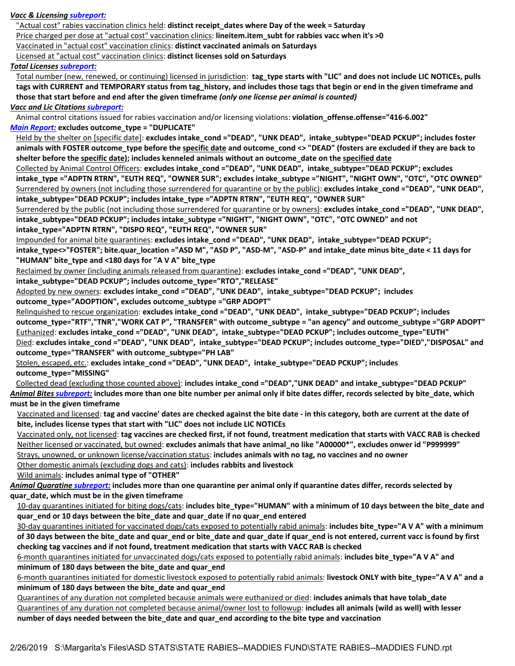### *Vacc & Licensing subreport:*

"Actual cost" rabies vaccination clinics held: **distinct receipt\_dates where Day of the week = Saturday**

Price charged per dose at "actual cost" vaccination clinics: **lineitem.item\_subt for rabbies vacc when it's >0**

Vaccinated in "actual cost" vaccination clinics: **distinct vaccinated animals on Saturdays**

Licensed at "actual cost" vaccination clinics: **distinct licenses sold on Saturdays**

### *Total Licenses subreport:*

Total number (new, renewed, or continuing) licensed in jurisdiction: tag type starts with "LIC" and does not include LIC NOTICEs, pulls **tags with CURRENT and TEMPORARY status from tag\_history, and includes those tags that begin or end in the given timeframe and those that start before and end after the given timeframe** *(only one license per animal is counted)*

### *Vacc and Lic Citations subreport:*

Animal control citations issued for rabies vaccination and/or licensing violations: **violation\_offense.offense="416-6.002"** *Main Report:* **excludes outcome\_type = "DUPLICATE"**

Held by the shelter on [specific date]: **excludes intake\_cond ="DEAD", "UNK DEAD", intake\_subtype="DEAD PCKUP"; includes foster animals with FOSTER outcome\_type before the specific date and outcome\_cond <> "DEAD" (fosters are excluded if they are back to shelter before the specific date); includes kenneled animals without an outcome\_date on the specified date**

Collected by Animal Control Officers: **excludes intake\_cond ="DEAD", "UNK DEAD", intake\_subtype="DEAD PCKUP"; excludes intake\_type ="ADPTN RTRN", "EUTH REQ", "OWNER SUR"; excludes intake\_subtype ="NIGHT", "NIGHT OWN", "OTC", "OTC OWNED"** Surrendered by owners (not including those surrendered for quarantine or by the public): **excludes intake cond ="DEAD", "UNK DEAD", intake\_subtype="DEAD PCKUP"; includes intake\_type ="ADPTN RTRN", "EUTH REQ", "OWNER SUR"**

Surrendered by the public (not including those surrendered for quarantine or by owners): **excludes intake\_cond ="DEAD", "UNK DEAD", intake\_subtype="DEAD PCKUP"; includes intake\_subtype ="NIGHT", "NIGHT OWN", "OTC", "OTC OWNED" and not** 

**intake\_type="ADPTN RTRN", "DISPO REQ", "EUTH REQ", "OWNER SUR"**

Impounded for animal bite quarantines: **excludes intake\_cond ="DEAD", "UNK DEAD", intake\_subtype="DEAD PCKUP";**

**intake\_type<>"FOSTER"; bite.quar\_location ="ASD M", "ASD P", "ASD-M", "ASD-P" and intake\_date minus bite\_date < 11 days for "HUMAN" bite\_type and <180 days for "A V A" bite\_type**

Reclaimed by owner (including animals released from quarantine): **excludes intake\_cond ="DEAD", "UNK DEAD",** 

**intake\_subtype="DEAD PCKUP"; includes outcome\_type="RTO","RELEASE"**

Adopted by new owners: **excludes intake\_cond ="DEAD", "UNK DEAD", intake\_subtype="DEAD PCKUP"; includes outcome\_type="ADOPTION", excludes outcome\_subtype ="GRP ADOPT"**

Relinquished to rescue organization: **excludes intake\_cond ="DEAD", "UNK DEAD", intake\_subtype="DEAD PCKUP"; includes outcome\_type="RTF","TNR","WORK CAT P", "TRANSFER" with outcome\_subtype = "an agency" and outcome\_subtype ="GRP ADOPT"** Euthanized: **excludes intake\_cond ="DEAD", "UNK DEAD", intake\_subtype="DEAD PCKUP"; includes outcome\_type="EUTH"** Died: **excludes intake\_cond ="DEAD", "UNK DEAD", intake\_subtype="DEAD PCKUP"; includes outcome\_type="DIED","DISPOSAL" and outcome\_type="TRANSFER" with outcome\_subtype="PH LAB"**

Stolen, escaped, etc.: **excludes intake\_cond ="DEAD", "UNK DEAD", intake\_subtype="DEAD PCKUP"; includes outcome\_type="MISSING"**

Collected dead (excluding those counted above): **includes intake\_cond ="DEAD","UNK DEAD" and intake\_subtype="DEAD PCKUP"** *Animal Bites subreport:* **includes more than one bite number per animal only if bite dates differ, records selected by bite\_date, which must be in the given timeframe**

Vaccinated and licensed: **tag and vaccine' dates are checked against the bite date - in this category, both are current at the date of bite, includes license types that start with "LIC" does not include LIC NOTICEs**

Vaccinated only, not licensed: **tag vaccines are checked first, if not found, treatment medication that starts with VACC RAB is checked**  Neither licensed or vaccinated, but owned: **excludes animals that have animal\_no like "A00000\*", excludes onwer id "P999999"** Strays, unowned, or unknown license/vaccination status: **includes animals with no tag, no vaccines and no owner**

Other domestic animals (excluding dogs and cats): **includes rabbits and livestock**

Wild animals: **includes animal type of "OTHER"**

*Animal Quaratine subreport:* **includes more than one quarantine per animal only if quarantine dates differ, records selected by quar\_date, which must be in the given timeframe**

10-day quarantines initiated for biting dogs/cats: includes bite type="HUMAN" with a minimum of 10 days between the bite date and **quar\_end or 10 days between the bite\_date and quar\_date if no quar\_end entered**

30-day quarantines initiated for vaccinated dogs/cats exposed to potentially rabid animals: **includes bite\_type="A V A" with a minimum of 30 days between the bite\_date and quar\_end or bite\_date and quar\_date if quar\_end is not entered, current vacc is found by first checking tag vaccines and if not found, treatment medication that starts with VACC RAB is checked** 

6-month quarantines initiated for unvaccinated dogs/cats exposed to potentially rabid animals: **includes bite\_type="A V A" and minimum of 180 days between the bite\_date and quar\_end**

6-month quarantines initiated for domestic livestock exposed to potentially rabid animals: **livestock ONLY with bite\_type="A V A" and a minimum of 180 days between the bite\_date and quar\_end**

Quarantines of any duration not completed because animals were euthanized or died: **includes animals that have tolab\_date** Quarantines of any duration not completed because animal/owner lost to followup: **includes all animals (wild as well) with lesser number of days needed between the bite\_date and quar\_end according to the bite type and vaccination**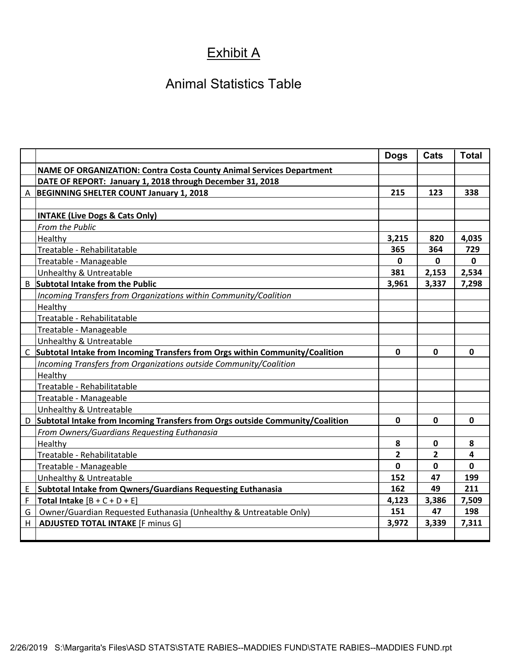# Exhibit A

# Animal Statistics Table

|   |                                                                                 | <b>Dogs</b>    | Cats        | <b>Total</b> |
|---|---------------------------------------------------------------------------------|----------------|-------------|--------------|
|   | <b>NAME OF ORGANIZATION: Contra Costa County Animal Services Department</b>     |                |             |              |
|   | DATE OF REPORT: January 1, 2018 through December 31, 2018                       |                |             |              |
|   | A BEGINNING SHELTER COUNT January 1, 2018                                       | 215            | 123         | 338          |
|   |                                                                                 |                |             |              |
|   | <b>INTAKE (Live Dogs &amp; Cats Only)</b>                                       |                |             |              |
|   | From the Public                                                                 |                |             |              |
|   | Healthy                                                                         | 3,215          | 820         | 4,035        |
|   | Treatable - Rehabilitatable                                                     | 365            | 364         | 729          |
|   | Treatable - Manageable                                                          | 0              | 0           | $\mathbf 0$  |
|   | Unhealthy & Untreatable                                                         | 381            | 2,153       | 2,534        |
|   | <b>B</b> Subtotal Intake from the Public                                        | 3,961          | 3,337       | 7,298        |
|   | Incoming Transfers from Organizations within Community/Coalition                |                |             |              |
|   | Healthy                                                                         |                |             |              |
|   | Treatable - Rehabilitatable                                                     |                |             |              |
|   | Treatable - Manageable                                                          |                |             |              |
|   | Unhealthy & Untreatable                                                         |                |             |              |
|   | C Subtotal Intake from Incoming Transfers from Orgs within Community/Coalition  | $\mathbf 0$    | $\mathbf 0$ | $\mathbf 0$  |
|   | Incoming Transfers from Organizations outside Community/Coalition               |                |             |              |
|   | Healthy                                                                         |                |             |              |
|   | Treatable - Rehabilitatable                                                     |                |             |              |
|   | Treatable - Manageable                                                          |                |             |              |
|   | Unhealthy & Untreatable                                                         |                |             |              |
|   | D Subtotal Intake from Incoming Transfers from Orgs outside Community/Coalition | $\mathbf 0$    | $\mathbf 0$ | $\mathbf 0$  |
|   | From Owners/Guardians Requesting Euthanasia                                     |                |             |              |
|   | Healthy                                                                         | 8              | 0           | 8            |
|   | Treatable - Rehabilitatable                                                     | $\overline{2}$ | 2           | 4            |
|   | Treatable - Manageable                                                          | 0              | 0           | $\mathbf{0}$ |
|   | <b>Unhealthy &amp; Untreatable</b>                                              | 152            | 47          | 199          |
| E | <b>Subtotal Intake from Qwners/Guardians Requesting Euthanasia</b>              | 162            | 49          | 211          |
| F | Total Intake $[B + C + D + E]$                                                  | 4,123          | 3,386       | 7,509        |
| G | Owner/Guardian Requested Euthanasia (Unhealthy & Untreatable Only)              | 151            | 47          | 198          |
| H | <b>ADJUSTED TOTAL INTAKE [F minus G]</b>                                        | 3,972          | 3,339       | 7,311        |
|   |                                                                                 |                |             |              |